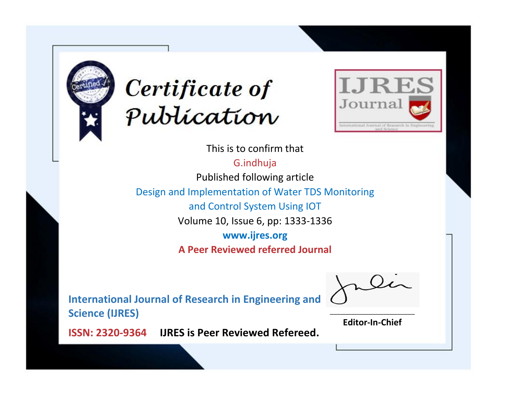



This is to confirm that G.indhuja Published following article Design and Implementation of Water TDS Monitoring and Control System Using IOT Volume 10, Issue 6, pp: 1333-1336 **www.ijres.org A Peer Reviewed referred Journal**

**International Journal of Research in Engineering and Science (IJRES)**

\_\_\_\_\_\_\_\_\_\_\_\_\_\_\_\_\_\_\_\_\_\_\_\_ **Editor-In-Chief**

**Journal.**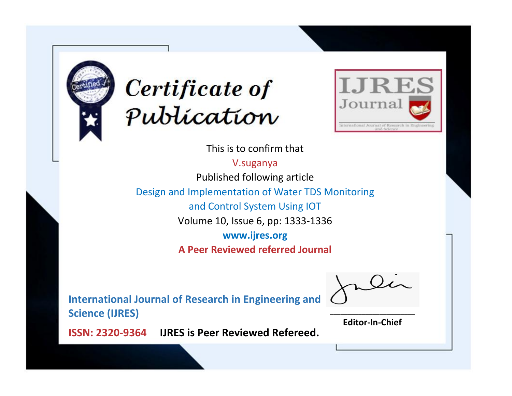



This is to confirm that

V.suganya Published following article Design and Implementation of Water TDS Monitoring

and Control System Using IOT

Volume 10, Issue 6, pp: 1333-1336

**www.ijres.org**

**A Peer Reviewed referred Journal**

**International Journal of Research in Engineering and Science (IJRES)**

\_\_\_\_\_\_\_\_\_\_\_\_\_\_\_\_\_\_\_\_\_\_\_\_ **Editor-In-Chief**

**Journal.**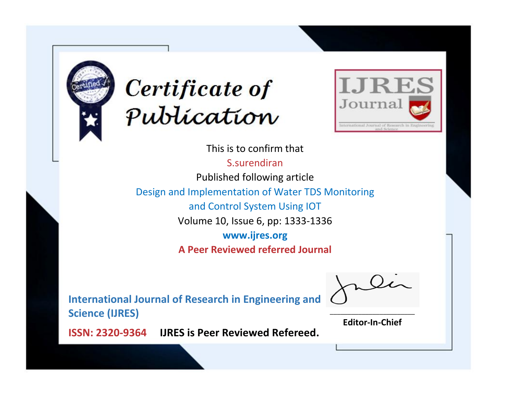



This is to confirm that S.surendiran Published following article Design and Implementation of Water TDS Monitoring and Control System Using IOT Volume 10, Issue 6, pp: 1333-1336 **www.ijres.org A Peer Reviewed referred Journal**

**International Journal of Research in Engineering and Science (IJRES)**

\_\_\_\_\_\_\_\_\_\_\_\_\_\_\_\_\_\_\_\_\_\_\_\_ **Editor-In-Chief**

**Journal.**